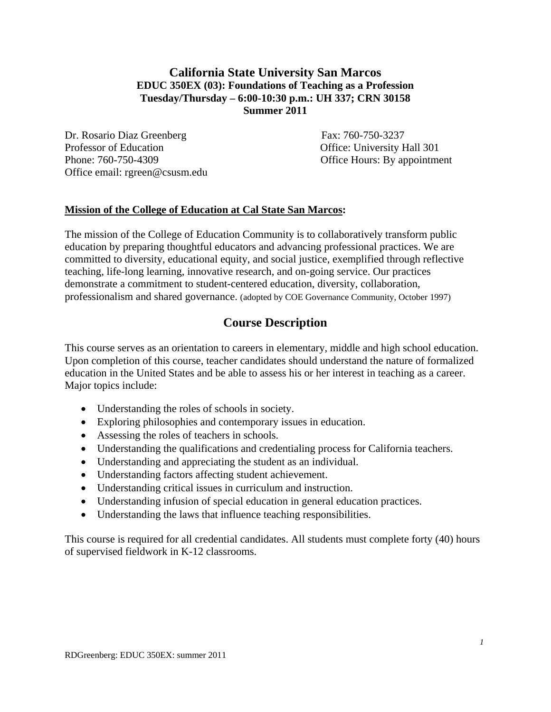## **California State University San Marcos EDUC 350EX (03): Foundations of Teaching as a Profession Tuesday/Thursday – 6:00-10:30 p.m.: UH 337; CRN 30158 Summer 2011**

Dr. Rosario Diaz Greenberg Fax: 760-750-3237 Professor of Education Office: University Hall 301 Phone: 760-750-4309 Office Hours: By appointment Office email: rgreen@csusm.edu

## **Mission of the College of Education at Cal State San Marcos:**

The mission of the College of Education Community is to collaboratively transform public education by preparing thoughtful educators and advancing professional practices. We are committed to diversity, educational equity, and social justice, exemplified through reflective teaching, life-long learning, innovative research, and on-going service. Our practices demonstrate a commitment to student-centered education, diversity, collaboration, professionalism and shared governance. (adopted by COE Governance Community, October 1997)

# **Course Description**

This course serves as an orientation to careers in elementary, middle and high school education. Upon completion of this course, teacher candidates should understand the nature of formalized education in the United States and be able to assess his or her interest in teaching as a career. Major topics include:

- Understanding the roles of schools in society.
- Exploring philosophies and contemporary issues in education.
- Assessing the roles of teachers in schools.
- Understanding the qualifications and credentialing process for California teachers.
- Understanding and appreciating the student as an individual.
- Understanding factors affecting student achievement.
- Understanding critical issues in curriculum and instruction.
- Understanding infusion of special education in general education practices.
- Understanding the laws that influence teaching responsibilities.

This course is required for all credential candidates. All students must complete forty (40) hours of supervised fieldwork in K-12 classrooms.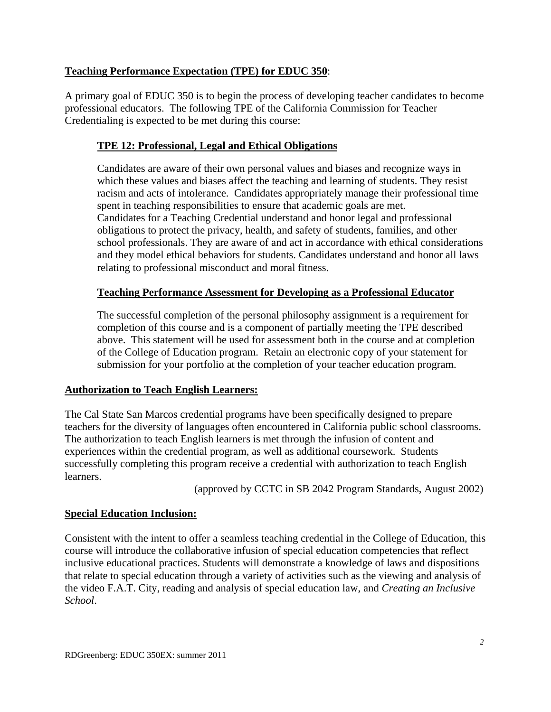## **Teaching Performance Expectation (TPE) for EDUC 350**:

A primary goal of EDUC 350 is to begin the process of developing teacher candidates to become professional educators. The following TPE of the California Commission for Teacher Credentialing is expected to be met during this course:

## **TPE 12: Professional, Legal and Ethical Obligations**

Candidates are aware of their own personal values and biases and recognize ways in which these values and biases affect the teaching and learning of students. They resist racism and acts of intolerance. Candidates appropriately manage their professional time spent in teaching responsibilities to ensure that academic goals are met. Candidates for a Teaching Credential understand and honor legal and professional obligations to protect the privacy, health, and safety of students, families, and other school professionals. They are aware of and act in accordance with ethical considerations and they model ethical behaviors for students. Candidates understand and honor all laws relating to professional misconduct and moral fitness.

## **Teaching Performance Assessment for Developing as a Professional Educator**

The successful completion of the personal philosophy assignment is a requirement for completion of this course and is a component of partially meeting the TPE described above. This statement will be used for assessment both in the course and at completion of the College of Education program. Retain an electronic copy of your statement for submission for your portfolio at the completion of your teacher education program.

## **Authorization to Teach English Learners:**

The Cal State San Marcos credential programs have been specifically designed to prepare teachers for the diversity of languages often encountered in California public school classrooms. The authorization to teach English learners is met through the infusion of content and experiences within the credential program, as well as additional coursework. Students successfully completing this program receive a credential with authorization to teach English learners.

(approved by CCTC in SB 2042 Program Standards, August 2002)

## **Special Education Inclusion:**

Consistent with the intent to offer a seamless teaching credential in the College of Education, this course will introduce the collaborative infusion of special education competencies that reflect inclusive educational practices. Students will demonstrate a knowledge of laws and dispositions that relate to special education through a variety of activities such as the viewing and analysis of the video F.A.T. City, reading and analysis of special education law, and *Creating an Inclusive School*.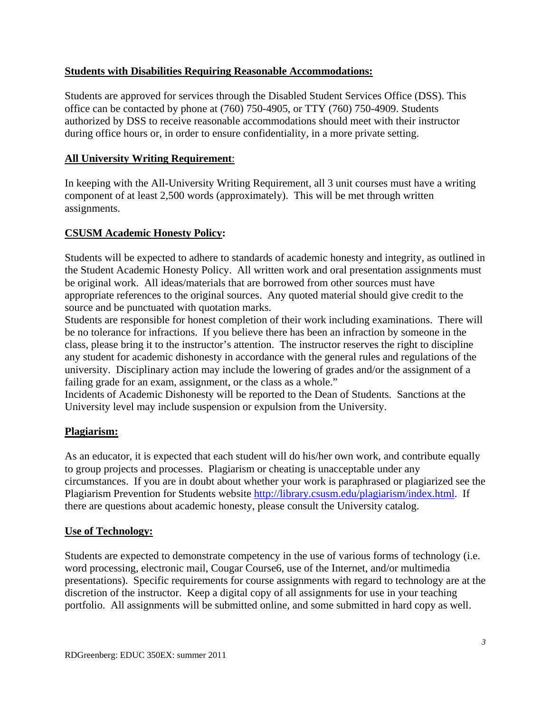## **Students with Disabilities Requiring Reasonable Accommodations:**

Students are approved for services through the Disabled Student Services Office (DSS). This office can be contacted by phone at (760) 750-4905, or TTY (760) 750-4909. Students authorized by DSS to receive reasonable accommodations should meet with their instructor during office hours or, in order to ensure confidentiality, in a more private setting.

## **All University Writing Requirement:**

In keeping with the All-University Writing Requirement, all 3 unit courses must have a writing component of at least 2,500 words (approximately). This will be met through written assignments.

## **CSUSM Academic Honesty Policy:**

Students will be expected to adhere to standards of academic honesty and integrity, as outlined in the Student Academic Honesty Policy. All written work and oral presentation assignments must be original work. All ideas/materials that are borrowed from other sources must have appropriate references to the original sources. Any quoted material should give credit to the source and be punctuated with quotation marks.

Students are responsible for honest completion of their work including examinations. There will be no tolerance for infractions. If you believe there has been an infraction by someone in the class, please bring it to the instructor's attention. The instructor reserves the right to discipline any student for academic dishonesty in accordance with the general rules and regulations of the university. Disciplinary action may include the lowering of grades and/or the assignment of a failing grade for an exam, assignment, or the class as a whole."

Incidents of Academic Dishonesty will be reported to the Dean of Students. Sanctions at the University level may include suspension or expulsion from the University.

## **Plagiarism:**

As an educator, it is expected that each student will do his/her own work, and contribute equally to group projects and processes. Plagiarism or cheating is unacceptable under any circumstances. If you are in doubt about whether your work is paraphrased or plagiarized see the Plagiarism Prevention for Students website http://library.csusm.edu/plagiarism/index.html. If there are questions about academic honesty, please consult the University catalog.

## **Use of Technology:**

Students are expected to demonstrate competency in the use of various forms of technology (i.e. word processing, electronic mail, Cougar Course6, use of the Internet, and/or multimedia presentations). Specific requirements for course assignments with regard to technology are at the discretion of the instructor. Keep a digital copy of all assignments for use in your teaching portfolio. All assignments will be submitted online, and some submitted in hard copy as well.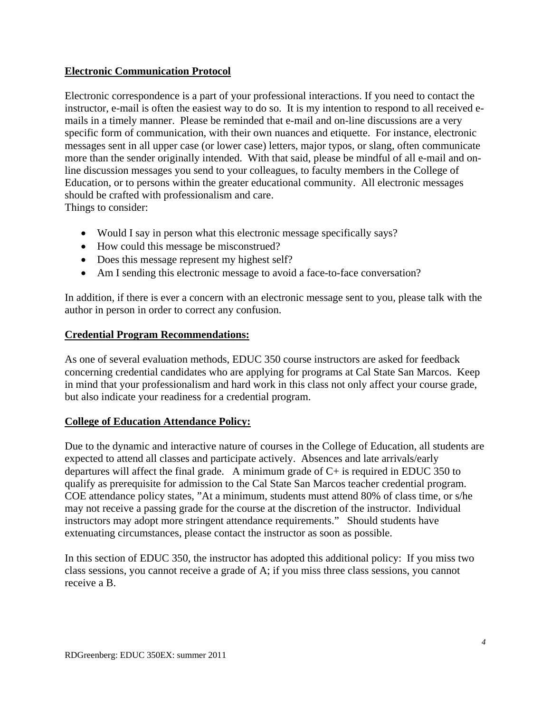## **Electronic Communication Protocol**

Electronic correspondence is a part of your professional interactions. If you need to contact the instructor, e-mail is often the easiest way to do so. It is my intention to respond to all received emails in a timely manner. Please be reminded that e-mail and on-line discussions are a very specific form of communication, with their own nuances and etiquette. For instance, electronic messages sent in all upper case (or lower case) letters, major typos, or slang, often communicate more than the sender originally intended. With that said, please be mindful of all e-mail and online discussion messages you send to your colleagues, to faculty members in the College of Education, or to persons within the greater educational community. All electronic messages should be crafted with professionalism and care. Things to consider:

- Would I say in person what this electronic message specifically says?
- How could this message be misconstrued?
- Does this message represent my highest self?
- Am I sending this electronic message to avoid a face-to-face conversation?

In addition, if there is ever a concern with an electronic message sent to you, please talk with the author in person in order to correct any confusion.

### **Credential Program Recommendations:**

As one of several evaluation methods, EDUC 350 course instructors are asked for feedback concerning credential candidates who are applying for programs at Cal State San Marcos. Keep in mind that your professionalism and hard work in this class not only affect your course grade, but also indicate your readiness for a credential program.

### **College of Education Attendance Policy:**

Due to the dynamic and interactive nature of courses in the College of Education, all students are expected to attend all classes and participate actively. Absences and late arrivals/early departures will affect the final grade. A minimum grade of  $C<sub>+</sub>$  is required in EDUC 350 to qualify as prerequisite for admission to the Cal State San Marcos teacher credential program. COE attendance policy states, "At a minimum, students must attend 80% of class time, or s/he may not receive a passing grade for the course at the discretion of the instructor. Individual instructors may adopt more stringent attendance requirements." Should students have extenuating circumstances, please contact the instructor as soon as possible.

In this section of EDUC 350, the instructor has adopted this additional policy: If you miss two class sessions, you cannot receive a grade of A; if you miss three class sessions, you cannot receive a B.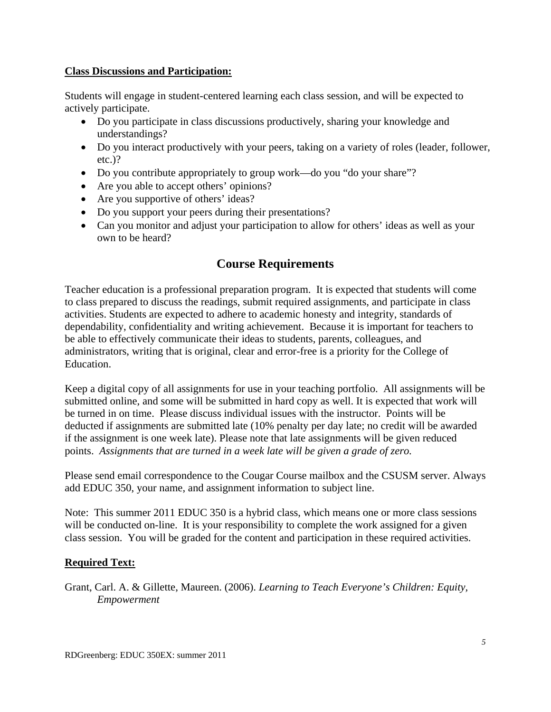### **Class Discussions and Participation:**

Students will engage in student-centered learning each class session, and will be expected to actively participate.

- Do you participate in class discussions productively, sharing your knowledge and understandings?
- Do you interact productively with your peers, taking on a variety of roles (leader, follower, etc.)?
- Do you contribute appropriately to group work—do you "do your share"?
- Are you able to accept others' opinions?
- Are you supportive of others' ideas?
- Do you support your peers during their presentations?
- Can you monitor and adjust your participation to allow for others' ideas as well as your own to be heard?

# **Course Requirements**

Teacher education is a professional preparation program. It is expected that students will come to class prepared to discuss the readings, submit required assignments, and participate in class activities. Students are expected to adhere to academic honesty and integrity, standards of dependability, confidentiality and writing achievement. Because it is important for teachers to be able to effectively communicate their ideas to students, parents, colleagues, and administrators, writing that is original, clear and error-free is a priority for the College of Education.

Keep a digital copy of all assignments for use in your teaching portfolio. All assignments will be submitted online, and some will be submitted in hard copy as well. It is expected that work will be turned in on time. Please discuss individual issues with the instructor. Points will be deducted if assignments are submitted late (10% penalty per day late; no credit will be awarded if the assignment is one week late). Please note that late assignments will be given reduced points. *Assignments that are turned in a week late will be given a grade of zero.* 

Please send email correspondence to the Cougar Course mailbox and the CSUSM server. Always add EDUC 350, your name, and assignment information to subject line.

Note: This summer 2011 EDUC 350 is a hybrid class, which means one or more class sessions will be conducted on-line. It is your responsibility to complete the work assigned for a given class session. You will be graded for the content and participation in these required activities.

## **Required Text:**

Grant, Carl. A. & Gillette, Maureen. (2006). *Learning to Teach Everyone's Children: Equity, Empowerment*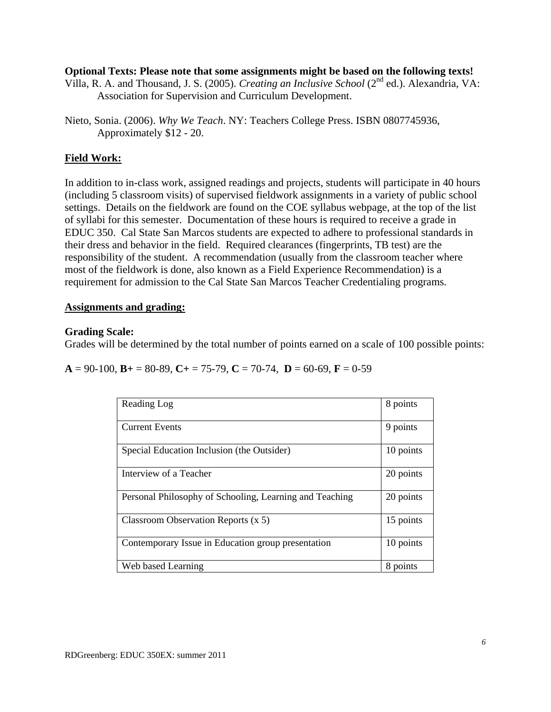### **Optional Texts: Please note that some assignments might be based on the following texts!**

Villa, R. A. and Thousand, J. S. (2005). *Creating an Inclusive School* (2nd ed.). Alexandria, VA: Association for Supervision and Curriculum Development.

### **Field Work:**

In addition to in-class work, assigned readings and projects, students will participate in 40 hours (including 5 classroom visits) of supervised fieldwork assignments in a variety of public school settings. Details on the fieldwork are found on the COE syllabus webpage, at the top of the list of syllabi for this semester. Documentation of these hours is required to receive a grade in EDUC 350. Cal State San Marcos students are expected to adhere to professional standards in their dress and behavior in the field. Required clearances (fingerprints, TB test) are the responsibility of the student. A recommendation (usually from the classroom teacher where most of the fieldwork is done, also known as a Field Experience Recommendation) is a requirement for admission to the Cal State San Marcos Teacher Credentialing programs.

### **Assignments and grading:**

### **Grading Scale:**

Grades will be determined by the total number of points earned on a scale of 100 possible points:

 $A = 90-100$ ,  $B = 80-89$ ,  $C = 75-79$ ,  $C = 70-74$ ,  $D = 60-69$ ,  $F = 0-59$ 

| Reading Log                                             | 8 points  |
|---------------------------------------------------------|-----------|
| <b>Current Events</b>                                   | 9 points  |
| Special Education Inclusion (the Outsider)              | 10 points |
| Interview of a Teacher                                  | 20 points |
| Personal Philosophy of Schooling, Learning and Teaching | 20 points |
| Classroom Observation Reports $(x 5)$                   | 15 points |
| Contemporary Issue in Education group presentation      | 10 points |
| Web based Learning                                      | 8 points  |

Nieto, Sonia. (2006). *Why We Teach*. NY: Teachers College Press. ISBN 0807745936, Approximately \$12 - 20.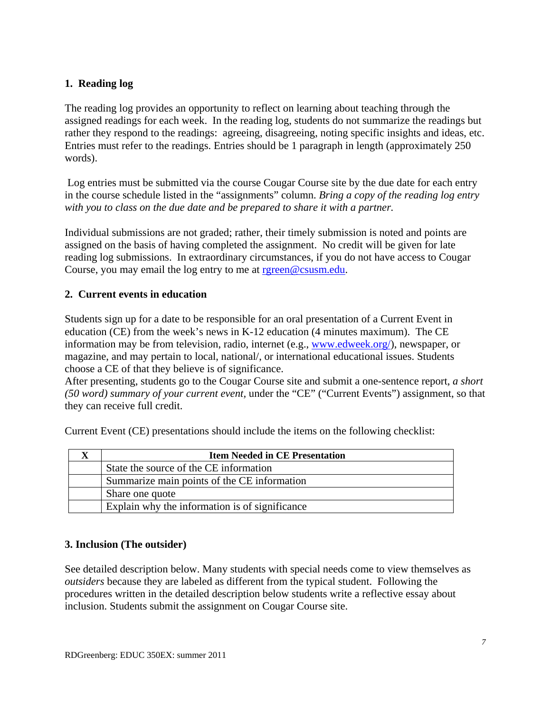## **1. Reading log**

The reading log provides an opportunity to reflect on learning about teaching through the assigned readings for each week. In the reading log, students do not summarize the readings but rather they respond to the readings: agreeing, disagreeing, noting specific insights and ideas, etc. Entries must refer to the readings. Entries should be 1 paragraph in length (approximately 250 words).

 Log entries must be submitted via the course Cougar Course site by the due date for each entry in the course schedule listed in the "assignments" column. *Bring a copy of the reading log entry with you to class on the due date and be prepared to share it with a partner.* 

Individual submissions are not graded; rather, their timely submission is noted and points are assigned on the basis of having completed the assignment. No credit will be given for late reading log submissions. In extraordinary circumstances, if you do not have access to Cougar Course, you may email the log entry to me at rgreen@csusm.edu.

## **2. Current events in education**

Students sign up for a date to be responsible for an oral presentation of a Current Event in education (CE) from the week's news in K-12 education (4 minutes maximum). The CE information may be from television, radio, internet (e.g., www.edweek.org/), newspaper, or magazine, and may pertain to local, national/, or international educational issues. Students choose a CE of that they believe is of significance.

After presenting, students go to the Cougar Course site and submit a one-sentence report, *a short (50 word) summary of your current event,* under the "CE" ("Current Events") assignment, so that they can receive full credit.

| <b>Item Needed in CE Presentation</b>          |
|------------------------------------------------|
| State the source of the CE information         |
| Summarize main points of the CE information    |
| Share one quote                                |
| Explain why the information is of significance |

Current Event (CE) presentations should include the items on the following checklist:

## **3. Inclusion (The outsider)**

See detailed description below. Many students with special needs come to view themselves as *outsiders* because they are labeled as different from the typical student. Following the procedures written in the detailed description below students write a reflective essay about inclusion. Students submit the assignment on Cougar Course site.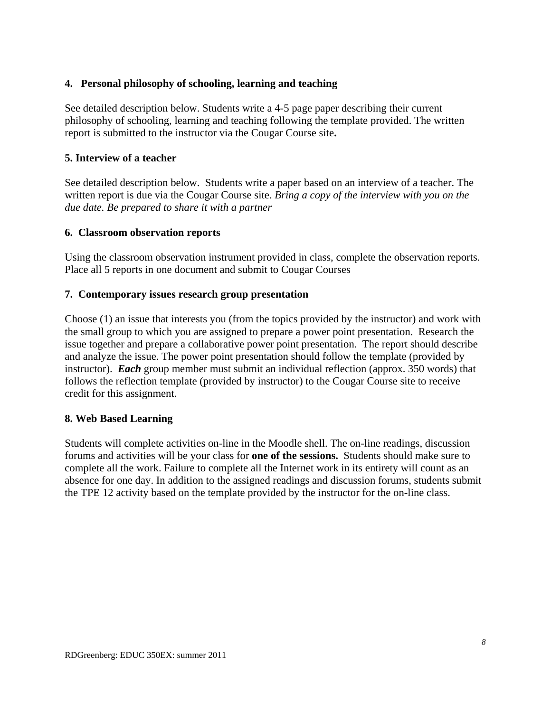### **4. Personal philosophy of schooling, learning and teaching**

See detailed description below. Students write a 4-5 page paper describing their current philosophy of schooling, learning and teaching following the template provided. The written report is submitted to the instructor via the Cougar Course site**.** 

### **5. Interview of a teacher**

See detailed description below. Students write a paper based on an interview of a teacher. The written report is due via the Cougar Course site. *Bring a copy of the interview with you on the due date. Be prepared to share it with a partner* 

### **6. Classroom observation reports**

Using the classroom observation instrument provided in class, complete the observation reports. Place all 5 reports in one document and submit to Cougar Courses

### **7. Contemporary issues research group presentation**

Choose (1) an issue that interests you (from the topics provided by the instructor) and work with the small group to which you are assigned to prepare a power point presentation. Research the issue together and prepare a collaborative power point presentation. The report should describe and analyze the issue. The power point presentation should follow the template (provided by instructor). *Each* group member must submit an individual reflection (approx. 350 words) that follows the reflection template (provided by instructor) to the Cougar Course site to receive credit for this assignment.

### **8. Web Based Learning**

Students will complete activities on-line in the Moodle shell. The on-line readings, discussion forums and activities will be your class for **one of the sessions.** Students should make sure to complete all the work. Failure to complete all the Internet work in its entirety will count as an absence for one day. In addition to the assigned readings and discussion forums, students submit the TPE 12 activity based on the template provided by the instructor for the on-line class.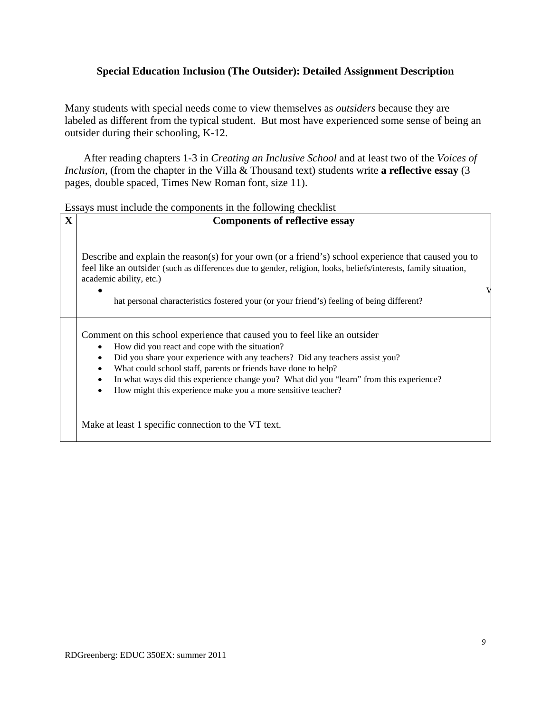### **Special Education Inclusion (The Outsider): Detailed Assignment Description**

Many students with special needs come to view themselves as *outsiders* because they are labeled as different from the typical student. But most have experienced some sense of being an outsider during their schooling, K-12.

After reading chapters 1-3 in *Creating an Inclusive School* and at least two of the *Voices of Inclusion*, (from the chapter in the Villa & Thousand text) students write **a reflective essay** (3) pages, double spaced, Times New Roman font, size 11).

Essays must include the components in the following checklist

| $\mathbf X$ | <b>Components of reflective essay</b>                                                                                                                                                                                                                                                                                                                                                                                                                   |
|-------------|---------------------------------------------------------------------------------------------------------------------------------------------------------------------------------------------------------------------------------------------------------------------------------------------------------------------------------------------------------------------------------------------------------------------------------------------------------|
|             | Describe and explain the reason(s) for your own (or a friend's) school experience that caused you to<br>feel like an outsider (such as differences due to gender, religion, looks, beliefs/interests, family situation,<br>academic ability, etc.)<br>hat personal characteristics fostered your (or your friend's) feeling of being different?                                                                                                         |
|             | Comment on this school experience that caused you to feel like an outsider<br>How did you react and cope with the situation?<br>Did you share your experience with any teachers? Did any teachers assist you?<br>What could school staff, parents or friends have done to help?<br>$\bullet$<br>In what ways did this experience change you? What did you "learn" from this experience?<br>How might this experience make you a more sensitive teacher? |
|             | Make at least 1 specific connection to the VT text.                                                                                                                                                                                                                                                                                                                                                                                                     |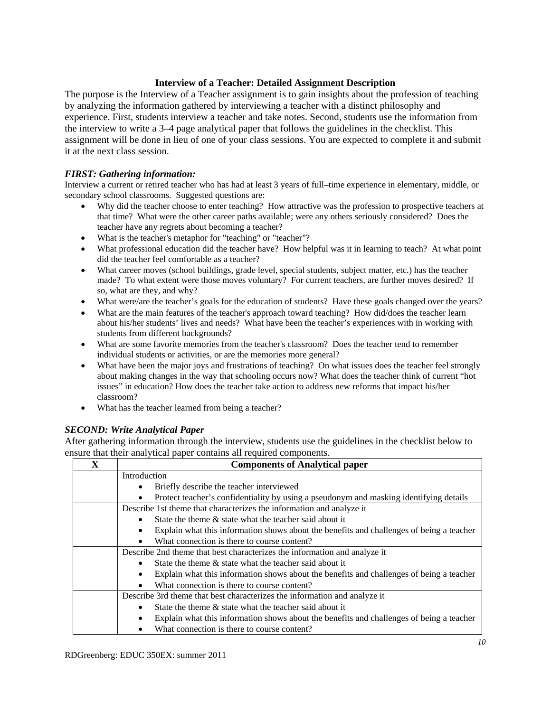#### **Interview of a Teacher: Detailed Assignment Description**

The purpose is the Interview of a Teacher assignment is to gain insights about the profession of teaching by analyzing the information gathered by interviewing a teacher with a distinct philosophy and experience. First, students interview a teacher and take notes. Second, students use the information from the interview to write a 3–4 page analytical paper that follows the guidelines in the checklist. This assignment will be done in lieu of one of your class sessions. You are expected to complete it and submit it at the next class session.

#### *FIRST: Gathering information:*

 secondary school classrooms. Suggested questions are: Interview a current or retired teacher who has had at least 3 years of full–time experience in elementary, middle, or

- Why did the teacher choose to enter teaching? How attractive was the profession to prospective teachers at that time? What were the other career paths available; were any others seriously considered? Does the teacher have any regrets about becoming a teacher?
- What is the teacher's metaphor for "teaching" or "teacher"?
- What professional education did the teacher have? How helpful was it in learning to teach? At what point did the teacher feel comfortable as a teacher?
- made? To what extent were those moves voluntary? For current teachers, are further moves desired? If What career moves (school buildings, grade level, special students, subject matter, etc.) has the teacher so, what are they, and why?
- What were/are the teacher's goals for the education of students? Have these goals changed over the years?
- about his/her students' lives and needs? What have been the teacher's experiences with in working with students from different backgrounds? What are the main features of the teacher's approach toward teaching? How did/does the teacher learn
- individual students or activities, or are the memories more general? What are some favorite memories from the teacher's classroom? Does the teacher tend to remember
- What have been the major joys and frustrations of teaching? On what issues does the teacher feel strongly about making changes in the way that schooling occurs now? What does the teacher think of current "hot issues" in education? How does the teacher take action to address new reforms that impact his/her classroom?
- What has the teacher learned from being a teacher?

#### *SECOND: Write Analytical Paper*

After gathering information through the interview, students use the guidelines in the checklist below to ensure that their analytical paper contains all required components.

| $\mathbf x$ | <b>Components of Analytical paper</b>                                                    |
|-------------|------------------------------------------------------------------------------------------|
|             | Introduction                                                                             |
|             | Briefly describe the teacher interviewed                                                 |
|             | Protect teacher's confidentiality by using a pseudonym and masking identifying details   |
|             | Describe 1st theme that characterizes the information and analyze it                     |
|             | State the theme $\&$ state what the teacher said about it                                |
|             | Explain what this information shows about the benefits and challenges of being a teacher |
|             | What connection is there to course content?                                              |
|             | Describe 2nd theme that best characterizes the information and analyze it                |
|             | State the theme $\&$ state what the teacher said about it                                |
|             | Explain what this information shows about the benefits and challenges of being a teacher |
|             | What connection is there to course content?                                              |
|             | Describe 3rd theme that best characterizes the information and analyze it                |
|             | State the theme $\&$ state what the teacher said about it                                |
|             | Explain what this information shows about the benefits and challenges of being a teacher |
|             | What connection is there to course content?                                              |